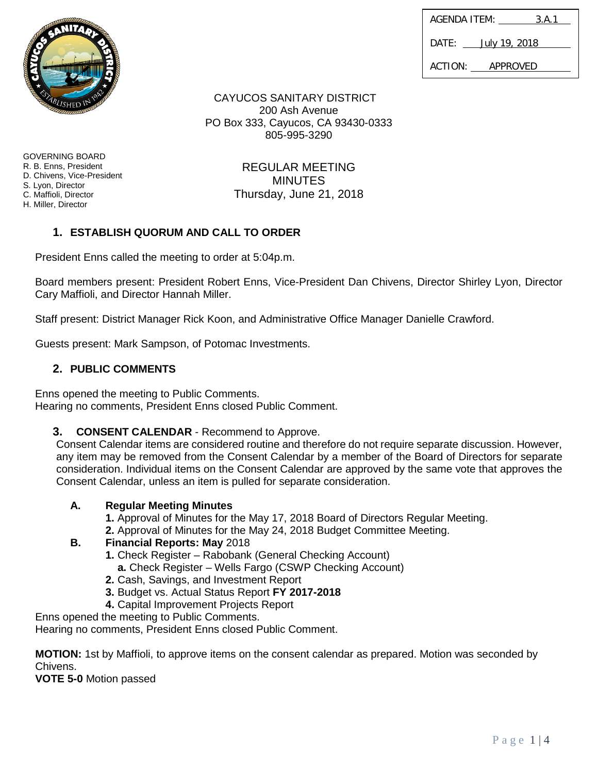| AGENDA ITEM:      | 3.A.1                |
|-------------------|----------------------|
| $\mathsf{DATF}$ : | <u>July 19, 2018</u> |
| ACTION:           | APPROVED             |

CAYUCOS SANITARY DISTRICT 200 Ash Avenue PO Box 333, Cayucos, CA 93430-0333 805-995-3290

REGULAR MEETING

GOVERNING BOARD R. B. Enns, President D. Chivens, Vice-President S. Lyon, Director C. Maffioli, Director H. Miller, Director

MINUTES Thursday, June 21, 2018

# **1. ESTABLISH QUORUM AND CALL TO ORDER**

President Enns called the meeting to order at 5:04p.m.

Board members present: President Robert Enns, Vice-President Dan Chivens, Director Shirley Lyon, Director Cary Maffioli, and Director Hannah Miller.

Staff present: District Manager Rick Koon, and Administrative Office Manager Danielle Crawford.

Guests present: Mark Sampson, of Potomac Investments.

# **2. PUBLIC COMMENTS**

Enns opened the meeting to Public Comments. Hearing no comments, President Enns closed Public Comment.

**3. CONSENT CALENDAR** - Recommend to Approve.

Consent Calendar items are considered routine and therefore do not require separate discussion. However, any item may be removed from the Consent Calendar by a member of the Board of Directors for separate consideration. Individual items on the Consent Calendar are approved by the same vote that approves the Consent Calendar, unless an item is pulled for separate consideration.

# **A. Regular Meeting Minutes**

- **1.** Approval of Minutes for the May 17, 2018 Board of Directors Regular Meeting.
- **2.** Approval of Minutes for the May 24, 2018 Budget Committee Meeting.

# **B. Financial Reports: May** 2018

- **1.** Check Register Rabobank (General Checking Account)
	- **a.** Check Register Wells Fargo (CSWP Checking Account)
- **2.** Cash, Savings, and Investment Report
- **3.** Budget vs. Actual Status Report **FY 2017-2018**
- **4.** Capital Improvement Projects Report

Enns opened the meeting to Public Comments.

Hearing no comments, President Enns closed Public Comment.

**MOTION:** 1st by Maffioli, to approve items on the consent calendar as prepared. Motion was seconded by Chivens.

**VOTE 5-0** Motion passed

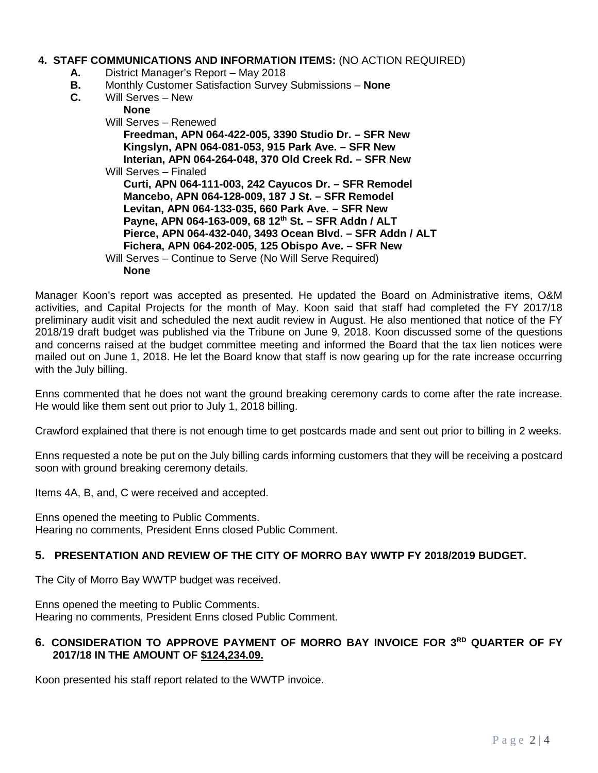### **4. STAFF COMMUNICATIONS AND INFORMATION ITEMS:** (NO ACTION REQUIRED)

- **A.** District Manager's Report May 2018
- **B.** Monthly Customer Satisfaction Survey Submissions **None**
- **C.** Will Serves New

| <b>None</b>                                                |
|------------------------------------------------------------|
| Will Serves – Renewed                                      |
| Freedman, APN 064-422-005, 3390 Studio Dr. - SFR New       |
| Kingslyn, APN 064-081-053, 915 Park Ave. - SFR New         |
| Interian, APN 064-264-048, 370 Old Creek Rd. - SFR New     |
| Will Serves - Finaled                                      |
| Curti, APN 064-111-003, 242 Cayucos Dr. - SFR Remodel      |
| Mancebo, APN 064-128-009, 187 J St. - SFR Remodel          |
| Levitan, APN 064-133-035, 660 Park Ave. - SFR New          |
| Payne, APN 064-163-009, 68 12th St. - SFR Addn / ALT       |
| Pierce, APN 064-432-040, 3493 Ocean Blvd. - SFR Addn / ALT |
| Fichera, APN 064-202-005, 125 Obispo Ave. - SFR New        |
| Will Serves – Continue to Serve (No Will Serve Required)   |
| <b>None</b>                                                |
|                                                            |

Manager Koon's report was accepted as presented. He updated the Board on Administrative items, O&M activities, and Capital Projects for the month of May. Koon said that staff had completed the FY 2017/18 preliminary audit visit and scheduled the next audit review in August. He also mentioned that notice of the FY 2018/19 draft budget was published via the Tribune on June 9, 2018. Koon discussed some of the questions and concerns raised at the budget committee meeting and informed the Board that the tax lien notices were mailed out on June 1, 2018. He let the Board know that staff is now gearing up for the rate increase occurring with the July billing.

Enns commented that he does not want the ground breaking ceremony cards to come after the rate increase. He would like them sent out prior to July 1, 2018 billing.

Crawford explained that there is not enough time to get postcards made and sent out prior to billing in 2 weeks.

Enns requested a note be put on the July billing cards informing customers that they will be receiving a postcard soon with ground breaking ceremony details.

Items 4A, B, and, C were received and accepted.

Enns opened the meeting to Public Comments. Hearing no comments, President Enns closed Public Comment.

#### **5. PRESENTATION AND REVIEW OF THE CITY OF MORRO BAY WWTP FY 2018/2019 BUDGET.**

The City of Morro Bay WWTP budget was received.

Enns opened the meeting to Public Comments. Hearing no comments, President Enns closed Public Comment.

### **6. CONSIDERATION TO APPROVE PAYMENT OF MORRO BAY INVOICE FOR 3RD QUARTER OF FY 2017/18 IN THE AMOUNT OF \$124,234.09.**

Koon presented his staff report related to the WWTP invoice.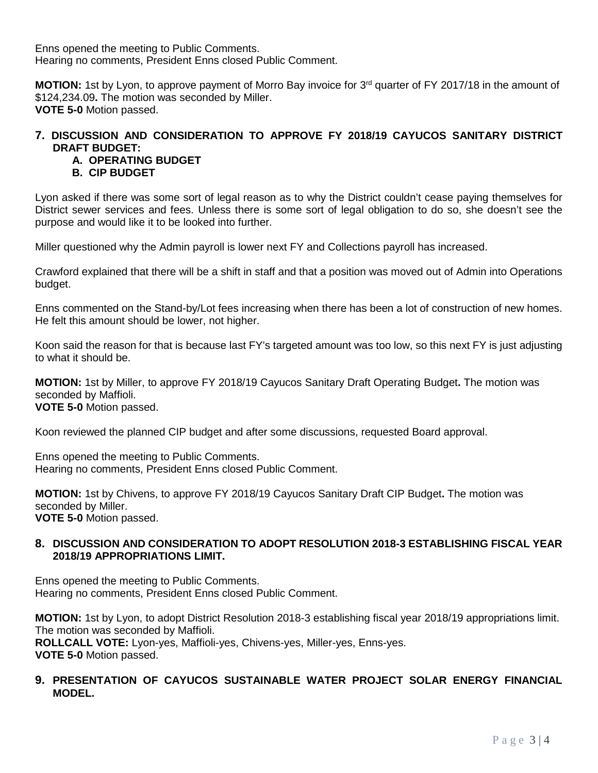Enns opened the meeting to Public Comments. Hearing no comments, President Enns closed Public Comment.

**MOTION:** 1st by Lyon, to approve payment of Morro Bay invoice for 3<sup>rd</sup> quarter of FY 2017/18 in the amount of \$124,234.09**.** The motion was seconded by Miller. **VOTE 5-0** Motion passed.

# **7. DISCUSSION AND CONSIDERATION TO APPROVE FY 2018/19 CAYUCOS SANITARY DISTRICT DRAFT BUDGET:**

# **A. OPERATING BUDGET**

# **B. CIP BUDGET**

Lyon asked if there was some sort of legal reason as to why the District couldn't cease paying themselves for District sewer services and fees. Unless there is some sort of legal obligation to do so, she doesn't see the purpose and would like it to be looked into further.

Miller questioned why the Admin payroll is lower next FY and Collections payroll has increased.

Crawford explained that there will be a shift in staff and that a position was moved out of Admin into Operations budget.

Enns commented on the Stand-by/Lot fees increasing when there has been a lot of construction of new homes. He felt this amount should be lower, not higher.

Koon said the reason for that is because last FY's targeted amount was too low, so this next FY is just adjusting to what it should be.

**MOTION:** 1st by Miller, to approve FY 2018/19 Cayucos Sanitary Draft Operating Budget**.** The motion was seconded by Maffioli. **VOTE 5-0** Motion passed.

Koon reviewed the planned CIP budget and after some discussions, requested Board approval.

Enns opened the meeting to Public Comments. Hearing no comments, President Enns closed Public Comment.

**MOTION:** 1st by Chivens, to approve FY 2018/19 Cayucos Sanitary Draft CIP Budget**.** The motion was seconded by Miller. **VOTE 5-0** Motion passed.

### **8. DISCUSSION AND CONSIDERATION TO ADOPT RESOLUTION 2018-3 ESTABLISHING FISCAL YEAR 2018/19 APPROPRIATIONS LIMIT.**

Enns opened the meeting to Public Comments. Hearing no comments, President Enns closed Public Comment.

**MOTION:** 1st by Lyon, to adopt District Resolution 2018-3 establishing fiscal year 2018/19 appropriations limit. The motion was seconded by Maffioli. **ROLLCALL VOTE:** Lyon-yes, Maffioli-yes, Chivens-yes, Miller-yes, Enns-yes. **VOTE 5-0** Motion passed.

## **9. PRESENTATION OF CAYUCOS SUSTAINABLE WATER PROJECT SOLAR ENERGY FINANCIAL MODEL.**